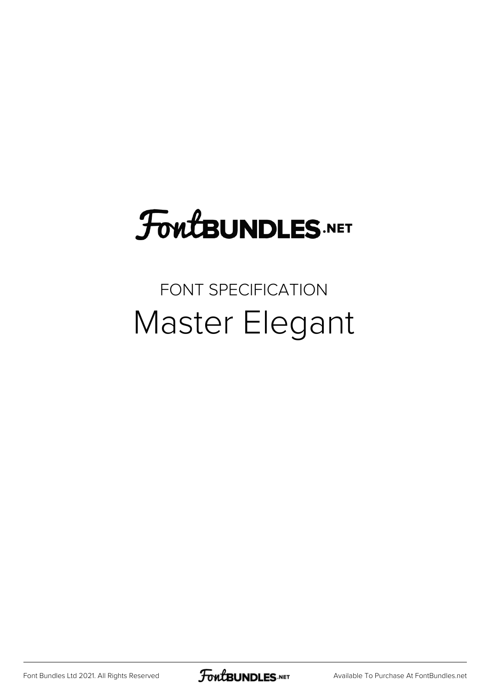# **FoutBUNDLES.NET**

### FONT SPECIFICATION Master Elegant

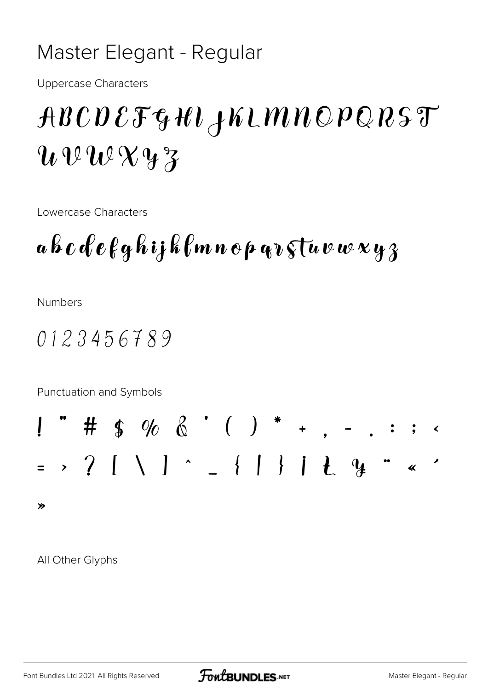#### Master Elegant - Regular

**Uppercase Characters** 

## ABCDEFGHIJKLMNOPQRST  $u\,u\,u\,u\,y\,z$

Lowercase Characters

a b  $c$  d  $e$  f g h i j k f m n  $e$  p q  $\imath$  s t u v w x y  $\jmath$ 

**Numbers** 

 $0123456789$ 

Punctuation and Symbols



All Other Glyphs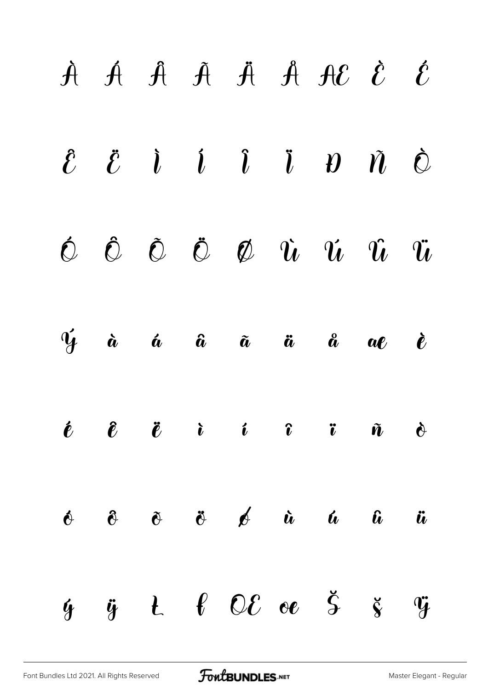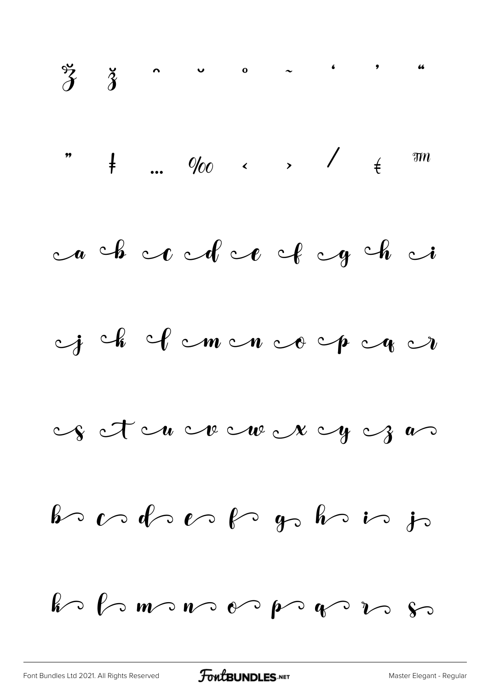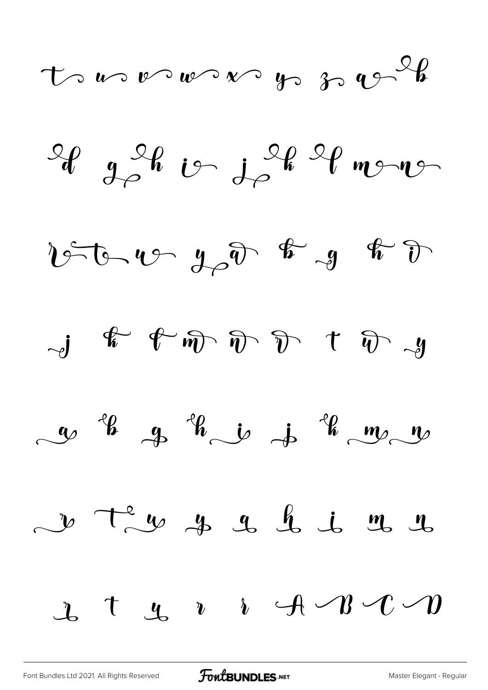$t$  and  $v$  and  $v$  by  $v \rightarrow v$ 

 $\mathscr{L}_{g}$  of  $\mathscr{L}_{g}$  in  $\mathscr{L}_{g}$  of  $\mathscr{L}_{g}$ 

 $256 - 452$   $452$   $8 - 9$   $8$ 

 $-J$   $\stackrel{\frown}{\ast}$   $\stackrel{\frown}{\ast}$   $\stackrel{\frown}{\ast}$   $\stackrel{\frown}{\ast}$   $\stackrel{\frown}{\ast}$   $\stackrel{\frown}{\ast}$   $\stackrel{\frown}{\ast}$   $\stackrel{\frown}{\ast}$   $\stackrel{\frown}{\ast}$ 

 $\sim$   $\frac{4}{9}$   $\frac{4}{9}$   $\frac{4}{9}$   $\frac{1}{9}$   $\frac{4}{9}$   $\frac{4}{9}$   $\frac{1}{9}$ 

v Tem y y y h i m y  $\mathcal{L}$  t  $\mathcal{L}$  r i  $\mathcal{A} \setminus \mathcal{B} \setminus \mathcal{C} \setminus \mathcal{D}$